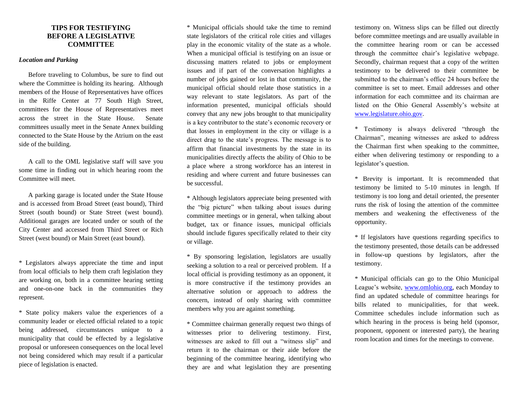## **TIPS FOR TESTIFYING BEFORE A LEGISLATIVE COMMITTEE**

#### *Location and Parking*

Before traveling to Columbus, be sure to find out where the Committee is holding its hearing. Although members of the House of Representatives have offices in the Riffe Center at 77 South High Street, committees for the House of Representatives meet across the street in the State House. Senate committees usually meet in the Senate Annex building connected to the State House by the Atrium on the east side of the building.

A call to the OML legislative staff will save you some time in finding out in which hearing room the Committee will meet.

A parking garage is located under the State House and is accessed from Broad Street (east bound), Third Street (south bound) or State Street (west bound). Additional garages are located under or south of the City Center and accessed from Third Street or Rich Street (west bound) or Main Street (east bound).

\* Legislators always appreciate the time and input from local officials to help them craft legislation they are working on, both in a committee hearing setting and one-on-one back in the communities they represent.

\* State policy makers value the experiences of a community leader or elected official related to a topic being addressed, circumstances unique to a municipality that could be effected by a legislative proposal or unforeseen consequences on the local level not being considered which may result if a particular piece of legislation is enacted.

\* Municipal officials should take the time to remind state legislators of the critical role cities and villages play in the economic vitality of the state as a whole. When a municipal official is testifying on an issue or discussing matters related to jobs or employment issues and if part of the conversation highlights a number of jobs gained or lost in that community, the municipal official should relate those statistics in a way relevant to state legislators. As part of the information presented, municipal officials should convey that any new jobs brought to that municipality is a key contributor to the state's economic recovery or that losses in employment in the city or village is a direct drag to the state's progress. The message is to affirm that financial investments by the state in its municipalities directly affects the ability of Ohio to be a place where a strong workforce has an interest in residing and where current and future businesses can be successful.

\* Although legislators appreciate being presented with the "big picture" when talking about issues during committee meetings or in general, when talking about budget, tax or finance issues, municipal officials should include figures specifically related to their city or village.

\* By sponsoring legislation, legislators are usually seeking a solution to a real or perceived problem. If a local official is providing testimony as an opponent, it is more constructive if the testimony provides an alternative solution or approach to address the concern, instead of only sharing with committee members why you are against something.

\* Committee chairman generally request two things of witnesses prior to delivering testimony. First, witnesses are asked to fill out a "witness slip" and return it to the chairman or their aide before the beginning of the committee hearing, identifying who they are and what legislation they are presenting

testimony on. Witness slips can be filled out directly before committee meetings and are usually available in the committee hearing room or can be accessed through the committee chair's legislative webpage. Secondly, chairman request that a copy of the written testimony to be delivered to their committee be submitted to the chairman's office 24 hours before the committee is set to meet. Email addresses and other information for each committee and its chairman are listed on the Ohio General Assembly's website at [www.legislature.ohio.gov.](http://www.legislature.ohio.gov/)

\* Testimony is always delivered "through the Chairman", meaning witnesses are asked to address the Chairman first when speaking to the committee, either when delivering testimony or responding to a legislator's question.

\* Brevity is important. It is recommended that testimony be limited to 5-10 minutes in length. If testimony is too long and detail oriented, the presenter runs the risk of losing the attention of the committee members and weakening the effectiveness of the opportunity.

\* If legislators have questions regarding specifics to the testimony presented, those details can be addressed in follow-up questions by legislators, after the testimony.

\* Municipal officials can go to the Ohio Municipal League's website, [www.omlohio.org,](http://www.omlohio.org/) each Monday to find an updated schedule of committee hearings for bills related to municipalities, for that week. Committee schedules include information such as which hearing in the process is being held (sponsor, proponent, opponent or interested party), the hearing room location and times for the meetings to convene.